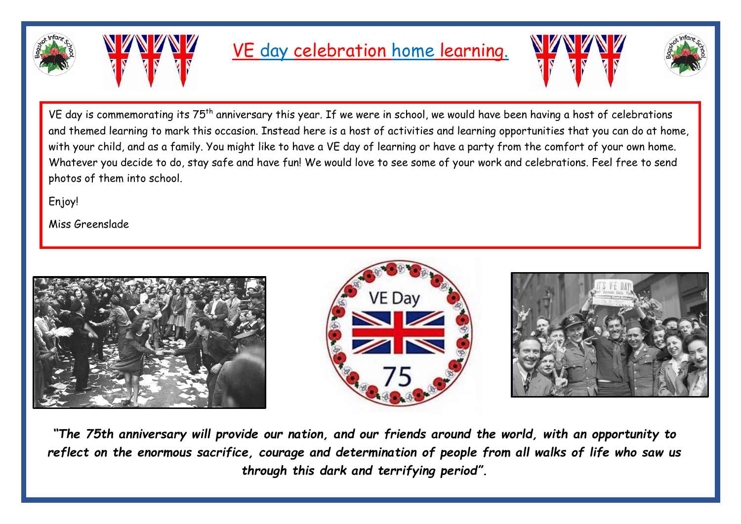



# VE day celebration home learning.





VE day is commemorating its 75<sup>th</sup> anniversary this year. If we were in school, we would have been having a host of celebrations and themed learning to mark this occasion. Instead here is a host of activities and learning opportunities that you can do at home, with your child, and as a family. You might like to have a VE day of learning or have a party from the comfort of your own home. Whatever you decide to do, stay safe and have fun! We would love to see some of your work and celebrations. Feel free to send photos of them into school.

Enjoy!

Miss Greenslade







*"The 75th anniversary will provide our nation, and our friends around the world, with an opportunity to reflect on the enormous sacrifice, courage and determination of people from all walks of life who saw us through this dark and terrifying period".*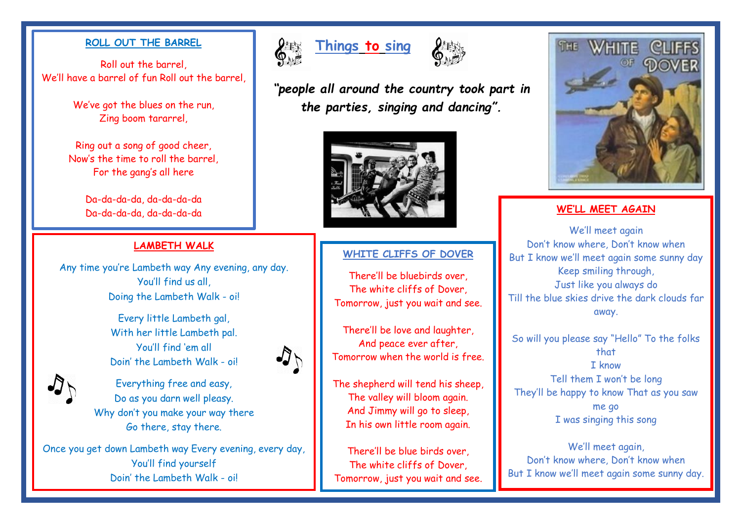Roll out the barrel, We'll have a barrel of fun Roll out the barrel

> We've got the blues on the run, Zing boom tararrel,

Ring out a song of good cheer, Now's the time to roll the barrel, For the gang's all here

Da-da-da-da, da-da-da-da

## **LAMBETH WALK**

Any time you're Lambeth way Any evening, any day. You'll find us all, Doing the Lambeth Walk - oi!

> Every little Lambeth gal, With her little Lambeth pal. You'll find 'em all Doin' the Lambeth Walk - oi!



Everything free and easy, Do as you darn well pleasy. Why don't you make your way there Go there, stay there.

Once you get down Lambeth way Every evening, every day, You'll find yourself Doin' the Lambeth Walk - oi!





*"people all around the country took part in the parties, singing and dancing".*



## **WHITE CLIFFS OF DOVER**

There'll be bluebirds over, The white cliffs of Dover, Tomorrow, just you wait and see.

There'll be love and laughter, And peace ever after, Tomorrow when the world is free.

The shepherd will tend his sheep, The valley will bloom again. And Jimmy will go to sleep, In his own little room again.

There'll be blue birds over, The white cliffs of Dover, Tomorrow, just you wait and see.



We'll meet again Don't know where, Don't know when But I know we'll meet again some sunny day Keep smiling through, Just like you always do Till the blue skies drive the dark clouds far away.

So will you please say "Hello" To the folks that I know Tell them I won't be long They'll be happy to know That as you saw me go I was singing this song

We'll meet again, Don't know where, Don't know when But I know we'll meet again some sunny day.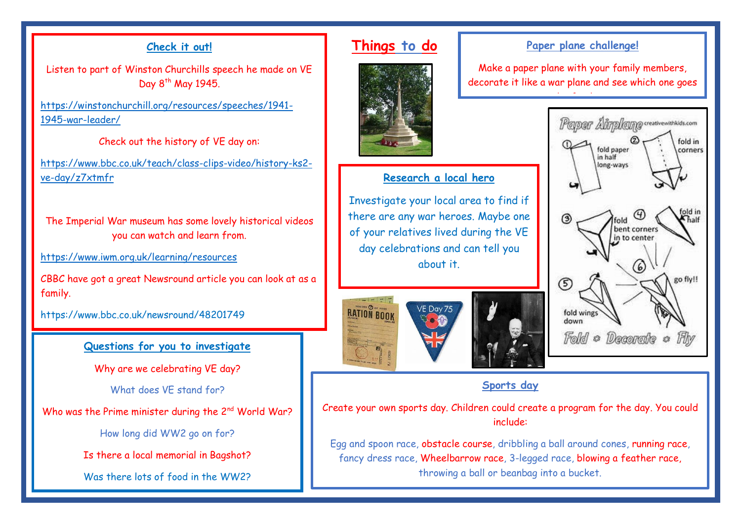## **Check it out!**

Listen to part of Winston Churchills speech he made on VE Day  $8<sup>th</sup>$  May 1945.

https://winstonchurchill.org/resources/speeches/1941- 1945-war-leader/

Check out the history of VE day on:

https://www.bbc.co.uk/teach/class-clips-video/history-ks2 ve-day/z7xtmfr

The Imperial War museum has some lovely historical videos you can watch and learn from.

https://www.iwm.org.uk/learning/resources

CBBC have got a great Newsround article you can look at as a family.

https://www.bbc.co.uk/newsround/48201749

## **Questions for you to investigate**

Why are we celebrating VE day?

What does VE stand for?

Who was the Prime minister during the 2<sup>nd</sup> World War?

How long did WW2 go on for?

Is there a local memorial in Bagshot?

Was there lots of food in the WW22

## **Things to do**



## **Research a local hero**

Investigate your local area to find if there are any war heroes. Maybe one of your relatives lived during the VE day celebrations and can tell you about it.



## **Paper plane challenge!**

Make a paper plane with your family members, decorate it like a war plane and see which one goes

the furthest.



## **Sports day**

Create your own sports day. Children could create a program for the day. You could include:

Egg and spoon race, obstacle course, dribbling a ball around cones, running race, fancy dress race, Wheelbarrow race, 3-legged race, blowing a feather race, throwing a ball or beanbag into a bucket.